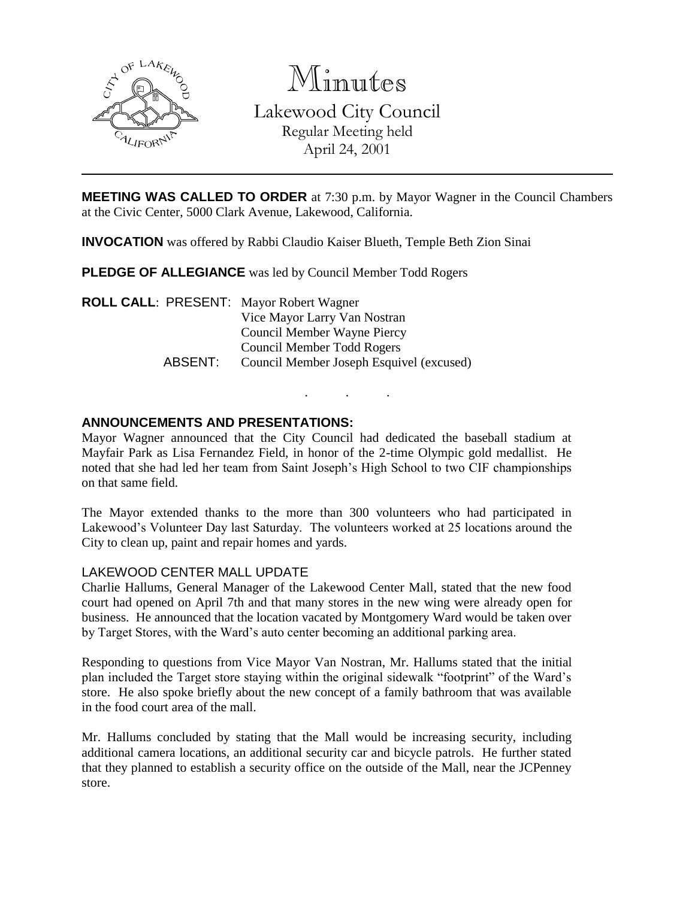

Minutes Lakewood City Council Regular Meeting held April 24, 2001

**MEETING WAS CALLED TO ORDER** at 7:30 p.m. by Mayor Wagner in the Council Chambers at the Civic Center, 5000 Clark Avenue, Lakewood, California.

**INVOCATION** was offered by Rabbi Claudio Kaiser Blueth, Temple Beth Zion Sinai

**PLEDGE OF ALLEGIANCE** was led by Council Member Todd Rogers

**ROLL CALL**: PRESENT: Mayor Robert Wagner Vice Mayor Larry Van Nostran Council Member Wayne Piercy Council Member Todd Rogers ABSENT: Council Member Joseph Esquivel (excused)

# **ANNOUNCEMENTS AND PRESENTATIONS:**

Mayor Wagner announced that the City Council had dedicated the baseball stadium at Mayfair Park as Lisa Fernandez Field, in honor of the 2-time Olympic gold medallist. He noted that she had led her team from Saint Joseph's High School to two CIF championships on that same field.

. . .

The Mayor extended thanks to the more than 300 volunteers who had participated in Lakewood's Volunteer Day last Saturday. The volunteers worked at 25 locations around the City to clean up, paint and repair homes and yards.

### LAKEWOOD CENTER MALL UPDATE

Charlie Hallums, General Manager of the Lakewood Center Mall, stated that the new food court had opened on April 7th and that many stores in the new wing were already open for business. He announced that the location vacated by Montgomery Ward would be taken over by Target Stores, with the Ward's auto center becoming an additional parking area.

Responding to questions from Vice Mayor Van Nostran, Mr. Hallums stated that the initial plan included the Target store staying within the original sidewalk "footprint" of the Ward's store. He also spoke briefly about the new concept of a family bathroom that was available in the food court area of the mall.

Mr. Hallums concluded by stating that the Mall would be increasing security, including additional camera locations, an additional security car and bicycle patrols. He further stated that they planned to establish a security office on the outside of the Mall, near the JCPenney store.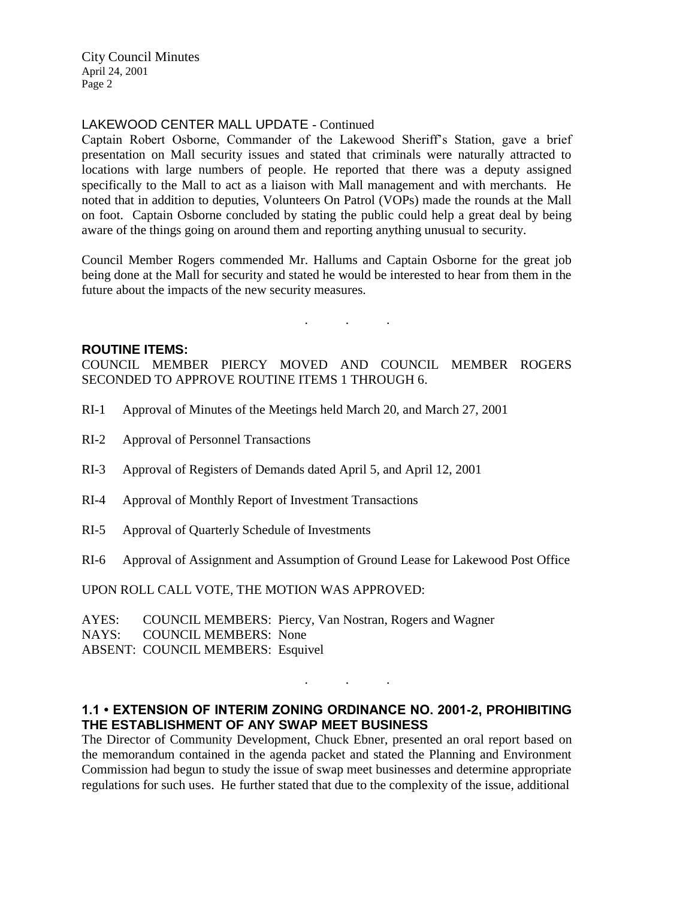City Council Minutes April 24, 2001 Page 2

## LAKEWOOD CENTER MALL UPDATE - Continued

Captain Robert Osborne, Commander of the Lakewood Sheriff's Station, gave a brief presentation on Mall security issues and stated that criminals were naturally attracted to locations with large numbers of people. He reported that there was a deputy assigned specifically to the Mall to act as a liaison with Mall management and with merchants. He noted that in addition to deputies, Volunteers On Patrol (VOPs) made the rounds at the Mall on foot. Captain Osborne concluded by stating the public could help a great deal by being aware of the things going on around them and reporting anything unusual to security.

Council Member Rogers commended Mr. Hallums and Captain Osborne for the great job being done at the Mall for security and stated he would be interested to hear from them in the future about the impacts of the new security measures.

. . .

#### **ROUTINE ITEMS:**

COUNCIL MEMBER PIERCY MOVED AND COUNCIL MEMBER ROGERS SECONDED TO APPROVE ROUTINE ITEMS 1 THROUGH 6.

- RI-1 Approval of Minutes of the Meetings held March 20, and March 27, 2001
- RI-2 Approval of Personnel Transactions
- RI-3 Approval of Registers of Demands dated April 5, and April 12, 2001
- RI-4 Approval of Monthly Report of Investment Transactions
- RI-5 Approval of Quarterly Schedule of Investments
- RI-6 Approval of Assignment and Assumption of Ground Lease for Lakewood Post Office

UPON ROLL CALL VOTE, THE MOTION WAS APPROVED:

AYES: COUNCIL MEMBERS: Piercy, Van Nostran, Rogers and Wagner NAYS: COUNCIL MEMBERS: None ABSENT: COUNCIL MEMBERS: Esquivel

# **1.1 • EXTENSION OF INTERIM ZONING ORDINANCE NO. 2001-2, PROHIBITING THE ESTABLISHMENT OF ANY SWAP MEET BUSINESS**

. . .

The Director of Community Development, Chuck Ebner, presented an oral report based on the memorandum contained in the agenda packet and stated the Planning and Environment Commission had begun to study the issue of swap meet businesses and determine appropriate regulations for such uses. He further stated that due to the complexity of the issue, additional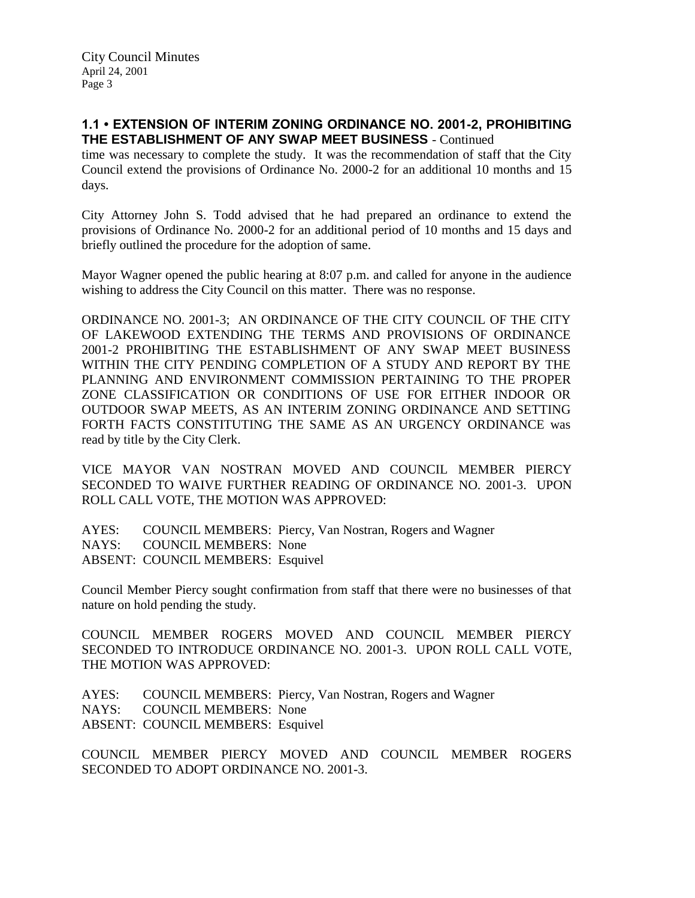## **1.1 • EXTENSION OF INTERIM ZONING ORDINANCE NO. 2001-2, PROHIBITING THE ESTABLISHMENT OF ANY SWAP MEET BUSINESS** - Continued

time was necessary to complete the study. It was the recommendation of staff that the City Council extend the provisions of Ordinance No. 2000-2 for an additional 10 months and 15 days.

City Attorney John S. Todd advised that he had prepared an ordinance to extend the provisions of Ordinance No. 2000-2 for an additional period of 10 months and 15 days and briefly outlined the procedure for the adoption of same.

Mayor Wagner opened the public hearing at 8:07 p.m. and called for anyone in the audience wishing to address the City Council on this matter. There was no response.

ORDINANCE NO. 2001-3; AN ORDINANCE OF THE CITY COUNCIL OF THE CITY OF LAKEWOOD EXTENDING THE TERMS AND PROVISIONS OF ORDINANCE 2001-2 PROHIBITING THE ESTABLISHMENT OF ANY SWAP MEET BUSINESS WITHIN THE CITY PENDING COMPLETION OF A STUDY AND REPORT BY THE PLANNING AND ENVIRONMENT COMMISSION PERTAINING TO THE PROPER ZONE CLASSIFICATION OR CONDITIONS OF USE FOR EITHER INDOOR OR OUTDOOR SWAP MEETS, AS AN INTERIM ZONING ORDINANCE AND SETTING FORTH FACTS CONSTITUTING THE SAME AS AN URGENCY ORDINANCE was read by title by the City Clerk.

VICE MAYOR VAN NOSTRAN MOVED AND COUNCIL MEMBER PIERCY SECONDED TO WAIVE FURTHER READING OF ORDINANCE NO. 2001-3. UPON ROLL CALL VOTE, THE MOTION WAS APPROVED:

AYES: COUNCIL MEMBERS: Piercy, Van Nostran, Rogers and Wagner NAYS: COUNCIL MEMBERS: None ABSENT: COUNCIL MEMBERS: Esquivel

Council Member Piercy sought confirmation from staff that there were no businesses of that nature on hold pending the study.

COUNCIL MEMBER ROGERS MOVED AND COUNCIL MEMBER PIERCY SECONDED TO INTRODUCE ORDINANCE NO. 2001-3. UPON ROLL CALL VOTE, THE MOTION WAS APPROVED:

AYES: COUNCIL MEMBERS: Piercy, Van Nostran, Rogers and Wagner NAYS: COUNCIL MEMBERS: None ABSENT: COUNCIL MEMBERS: Esquivel

COUNCIL MEMBER PIERCY MOVED AND COUNCIL MEMBER ROGERS SECONDED TO ADOPT ORDINANCE NO. 2001-3.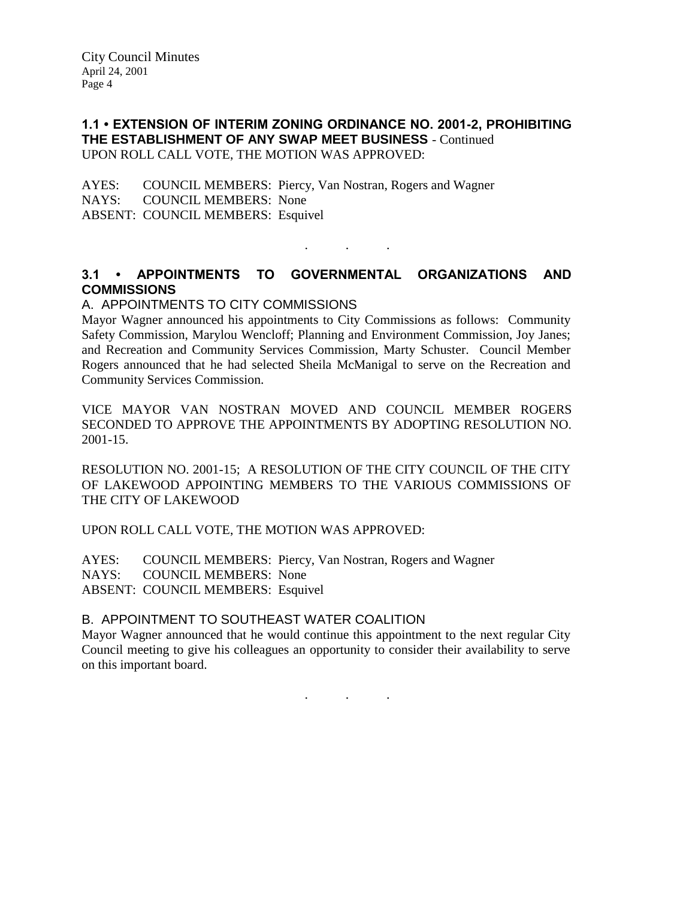## **1.1 • EXTENSION OF INTERIM ZONING ORDINANCE NO. 2001-2, PROHIBITING THE ESTABLISHMENT OF ANY SWAP MEET BUSINESS** - Continued UPON ROLL CALL VOTE, THE MOTION WAS APPROVED:

AYES: COUNCIL MEMBERS: Piercy, Van Nostran, Rogers and Wagner NAYS: COUNCIL MEMBERS: None ABSENT: COUNCIL MEMBERS: Esquivel

# **3.1 • APPOINTMENTS TO GOVERNMENTAL ORGANIZATIONS AND COMMISSIONS**

. . .

### A. APPOINTMENTS TO CITY COMMISSIONS

Mayor Wagner announced his appointments to City Commissions as follows: Community Safety Commission, Marylou Wencloff; Planning and Environment Commission, Joy Janes; and Recreation and Community Services Commission, Marty Schuster. Council Member Rogers announced that he had selected Sheila McManigal to serve on the Recreation and Community Services Commission.

VICE MAYOR VAN NOSTRAN MOVED AND COUNCIL MEMBER ROGERS SECONDED TO APPROVE THE APPOINTMENTS BY ADOPTING RESOLUTION NO. 2001-15.

RESOLUTION NO. 2001-15; A RESOLUTION OF THE CITY COUNCIL OF THE CITY OF LAKEWOOD APPOINTING MEMBERS TO THE VARIOUS COMMISSIONS OF THE CITY OF LAKEWOOD

UPON ROLL CALL VOTE, THE MOTION WAS APPROVED:

AYES: COUNCIL MEMBERS: Piercy, Van Nostran, Rogers and Wagner NAYS: COUNCIL MEMBERS: None ABSENT: COUNCIL MEMBERS: Esquivel

# B. APPOINTMENT TO SOUTHEAST WATER COALITION

Mayor Wagner announced that he would continue this appointment to the next regular City Council meeting to give his colleagues an opportunity to consider their availability to serve on this important board.

. . .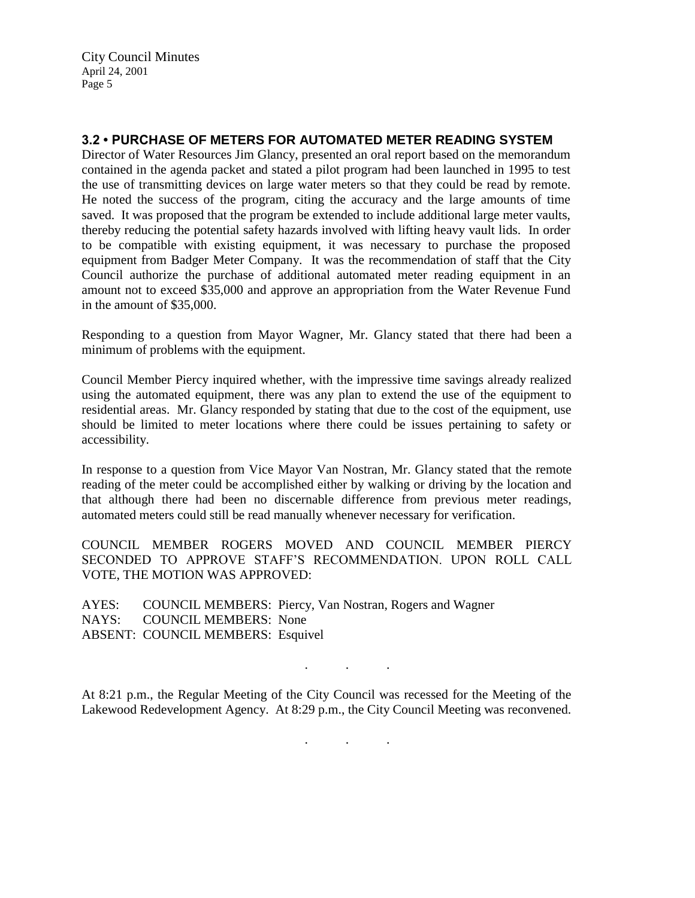City Council Minutes April 24, 2001 Page 5

# **3.2 • PURCHASE OF METERS FOR AUTOMATED METER READING SYSTEM**

Director of Water Resources Jim Glancy, presented an oral report based on the memorandum contained in the agenda packet and stated a pilot program had been launched in 1995 to test the use of transmitting devices on large water meters so that they could be read by remote. He noted the success of the program, citing the accuracy and the large amounts of time saved. It was proposed that the program be extended to include additional large meter vaults, thereby reducing the potential safety hazards involved with lifting heavy vault lids. In order to be compatible with existing equipment, it was necessary to purchase the proposed equipment from Badger Meter Company. It was the recommendation of staff that the City Council authorize the purchase of additional automated meter reading equipment in an amount not to exceed \$35,000 and approve an appropriation from the Water Revenue Fund in the amount of \$35,000.

Responding to a question from Mayor Wagner, Mr. Glancy stated that there had been a minimum of problems with the equipment.

Council Member Piercy inquired whether, with the impressive time savings already realized using the automated equipment, there was any plan to extend the use of the equipment to residential areas. Mr. Glancy responded by stating that due to the cost of the equipment, use should be limited to meter locations where there could be issues pertaining to safety or accessibility.

In response to a question from Vice Mayor Van Nostran, Mr. Glancy stated that the remote reading of the meter could be accomplished either by walking or driving by the location and that although there had been no discernable difference from previous meter readings, automated meters could still be read manually whenever necessary for verification.

COUNCIL MEMBER ROGERS MOVED AND COUNCIL MEMBER PIERCY SECONDED TO APPROVE STAFF'S RECOMMENDATION. UPON ROLL CALL VOTE, THE MOTION WAS APPROVED:

AYES: COUNCIL MEMBERS: Piercy, Van Nostran, Rogers and Wagner NAYS: COUNCIL MEMBERS: None ABSENT: COUNCIL MEMBERS: Esquivel

At 8:21 p.m., the Regular Meeting of the City Council was recessed for the Meeting of the Lakewood Redevelopment Agency. At 8:29 p.m., the City Council Meeting was reconvened.

. . .

. . .